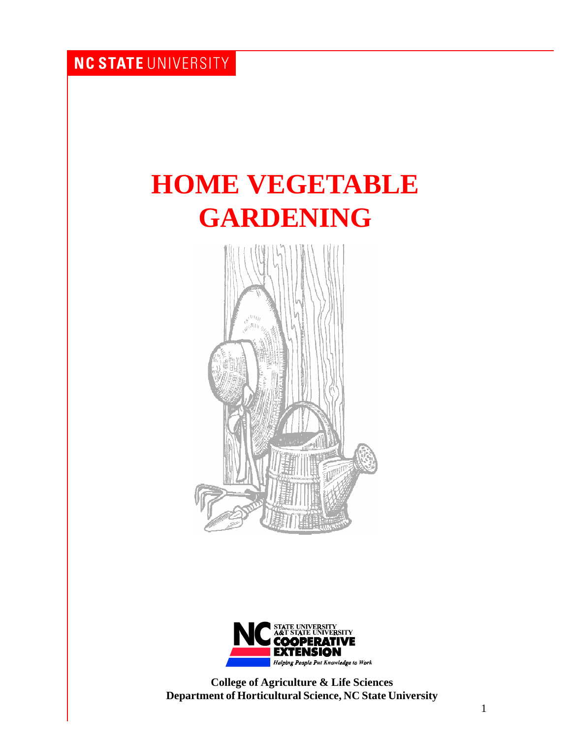





**College of Agriculture & Life Sciences Department of Horticultural Science, NC State University**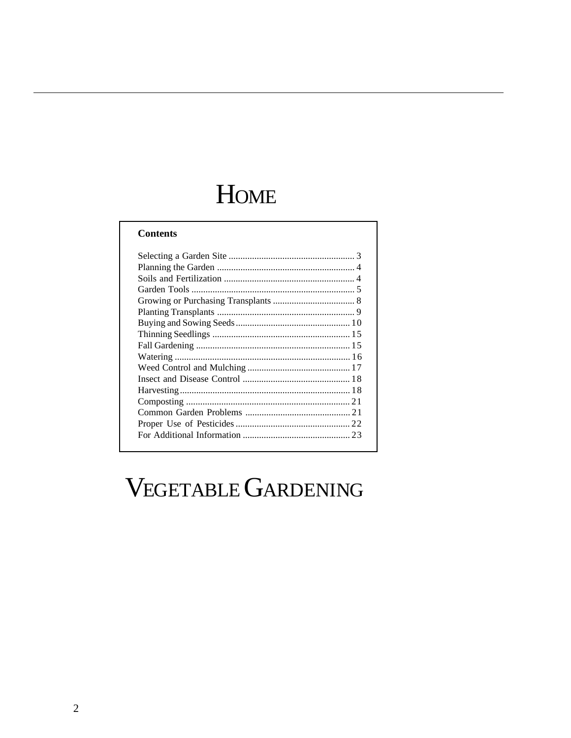# HOME

## **Contents**

# VEGETABLE GARDENING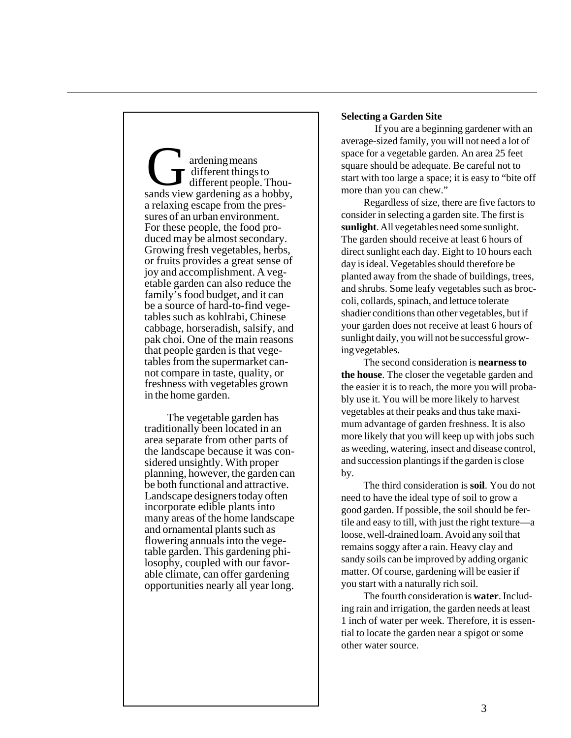ardening means different things to different people. Thouardening means<br>different things to<br>different people. Thou-<br>sands view gardening as a hobby, a relaxing escape from the pressures of an urban environment. For these people, the food produced may be almost secondary. Growing fresh vegetables, herbs, or fruits provides a great sense of joy and accomplishment. A vegetable garden can also reduce the family's food budget, and it can be a source of hard-to-find vegetables such as kohlrabi, Chinese cabbage, horseradish, salsify, and pak choi. One of the main reasons that people garden is that vegetables from the supermarket cannot compare in taste, quality, or freshness with vegetables grown in the home garden.

The vegetable garden has traditionally been located in an area separate from other parts of the landscape because it was considered unsightly. With proper planning, however, the garden can be both functional and attractive. Landscape designers today often incorporate edible plants into many areas of the home landscape and ornamental plants such as flowering annuals into the vegetable garden. This gardening philosophy, coupled with our favorable climate, can offer gardening opportunities nearly all year long.

## **Selecting a Garden Site**

If you are a beginning gardener with an average-sized family, you will not need a lot of space for a vegetable garden. An area 25 feet square should be adequate. Be careful not to start with too large a space; it is easy to "bite off more than you can chew."

Regardless of size, there are five factors to consider in selecting a garden site. The first is **sunlight**. All vegetables need some sunlight. The garden should receive at least 6 hours of direct sunlight each day. Eight to 10 hours each day is ideal. Vegetables should therefore be planted away from the shade of buildings, trees, and shrubs. Some leafy vegetables such as broccoli, collards, spinach, and lettuce tolerate shadier conditions than other vegetables, but if your garden does not receive at least 6 hours of sunlight daily, you will not be successful growing vegetables.

The second consideration is **nearness to the house**. The closer the vegetable garden and the easier it is to reach, the more you will probably use it. You will be more likely to harvest vegetables at their peaks and thus take maximum advantage of garden freshness. It is also more likely that you will keep up with jobs such as weeding, watering, insect and disease control, and succession plantings if the garden is close by.

The third consideration is **soil**. You do not need to have the ideal type of soil to grow a good garden. If possible, the soil should be fertile and easy to till, with just the right texture—a loose, well-drained loam. Avoid any soil that remains soggy after a rain. Heavy clay and sandy soils can be improved by adding organic matter. Of course, gardening will be easier if you start with a naturally rich soil.

The fourth consideration is **water**. Including rain and irrigation, the garden needs at least 1 inch of water per week. Therefore, it is essential to locate the garden near a spigot or some other water source.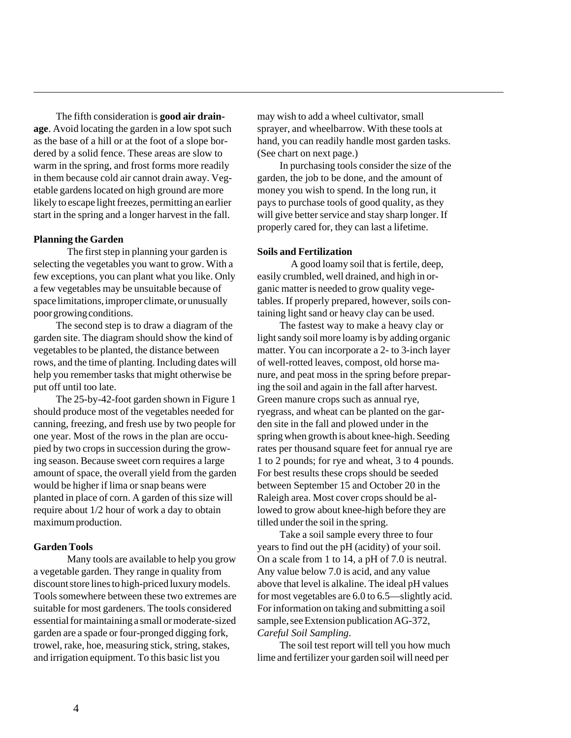The fifth consideration is **good air drainage**. Avoid locating the garden in a low spot such as the base of a hill or at the foot of a slope bordered by a solid fence. These areas are slow to warm in the spring, and frost forms more readily in them because cold air cannot drain away. Vegetable gardens located on high ground are more likely to escape light freezes, permitting an earlier start in the spring and a longer harvest in the fall.

### **Planning the Garden**

The first step in planning your garden is selecting the vegetables you want to grow. With a few exceptions, you can plant what you like. Only a few vegetables may be unsuitable because of space limitations, improper climate, or unusually poor growing conditions.

The second step is to draw a diagram of the garden site. The diagram should show the kind of vegetables to be planted, the distance between rows, and the time of planting. Including dates will help you remember tasks that might otherwise be put off until too late.

The 25-by-42-foot garden shown in Figure 1 should produce most of the vegetables needed for canning, freezing, and fresh use by two people for one year. Most of the rows in the plan are occupied by two crops in succession during the growing season. Because sweet corn requires a large amount of space, the overall yield from the garden would be higher if lima or snap beans were planted in place of corn. A garden of this size will require about 1/2 hour of work a day to obtain maximum production.

### **Garden Tools**

Many tools are available to help you grow a vegetable garden. They range in quality from discount store lines to high-priced luxury models. Tools somewhere between these two extremes are suitable for most gardeners. The tools considered essential for maintaining a small or moderate-sized garden are a spade or four-pronged digging fork, trowel, rake, hoe, measuring stick, string, stakes, and irrigation equipment. To this basic list you

may wish to add a wheel cultivator, small sprayer, and wheelbarrow. With these tools at hand, you can readily handle most garden tasks. (See chart on next page.)

In purchasing tools consider the size of the garden, the job to be done, and the amount of money you wish to spend. In the long run, it pays to purchase tools of good quality, as they will give better service and stay sharp longer. If properly cared for, they can last a lifetime.

## **Soils and Fertilization**

A good loamy soil that is fertile, deep, easily crumbled, well drained, and high in organic matter is needed to grow quality vegetables. If properly prepared, however, soils containing light sand or heavy clay can be used.

The fastest way to make a heavy clay or light sandy soil more loamy is by adding organic matter. You can incorporate a 2- to 3-inch layer of well-rotted leaves, compost, old horse manure, and peat moss in the spring before preparing the soil and again in the fall after harvest. Green manure crops such as annual rye, ryegrass, and wheat can be planted on the garden site in the fall and plowed under in the spring when growth is about knee-high. Seeding rates per thousand square feet for annual rye are 1 to 2 pounds; for rye and wheat, 3 to 4 pounds. For best results these crops should be seeded between September 15 and October 20 in the Raleigh area. Most cover crops should be allowed to grow about knee-high before they are tilled under the soil in the spring.

Take a soil sample every three to four years to find out the pH (acidity) of your soil. On a scale from 1 to 14, a pH of 7.0 is neutral. Any value below 7.0 is acid, and any value above that level is alkaline. The ideal pH values for most vegetables are 6.0 to 6.5—slightly acid. For information on taking and submitting a soil sample, see Extension publication AG-372, *Careful Soil Sampling*.

The soil test report will tell you how much lime and fertilizer your garden soil will need per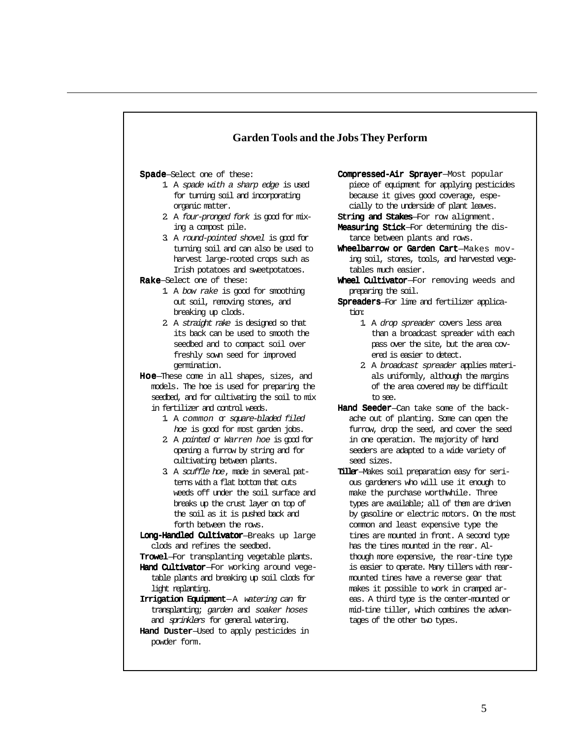| <b>Garden Tools and the Jobs They Perform</b>                                                                                                                                                                                                                                                                                                                                                                                                                                                                                                                                                                                                                                                                                                                                                                                                                                                                                                                                                                                                                                                                                                                                                                                                                                                                                                                                                                                                                                                                                                                                                                                                                                                                      |                                                                                                                                                                                                                                                                                                                                                                                                                                                                                                                                                                                                                                                                                                                                                                                                                                                                                                                                                                                                                                                                                                                                                                                                                                                                                                                                                                                                                                                                                                                                                                                                                                                                                                                                                                           |  |  |  |  |
|--------------------------------------------------------------------------------------------------------------------------------------------------------------------------------------------------------------------------------------------------------------------------------------------------------------------------------------------------------------------------------------------------------------------------------------------------------------------------------------------------------------------------------------------------------------------------------------------------------------------------------------------------------------------------------------------------------------------------------------------------------------------------------------------------------------------------------------------------------------------------------------------------------------------------------------------------------------------------------------------------------------------------------------------------------------------------------------------------------------------------------------------------------------------------------------------------------------------------------------------------------------------------------------------------------------------------------------------------------------------------------------------------------------------------------------------------------------------------------------------------------------------------------------------------------------------------------------------------------------------------------------------------------------------------------------------------------------------|---------------------------------------------------------------------------------------------------------------------------------------------------------------------------------------------------------------------------------------------------------------------------------------------------------------------------------------------------------------------------------------------------------------------------------------------------------------------------------------------------------------------------------------------------------------------------------------------------------------------------------------------------------------------------------------------------------------------------------------------------------------------------------------------------------------------------------------------------------------------------------------------------------------------------------------------------------------------------------------------------------------------------------------------------------------------------------------------------------------------------------------------------------------------------------------------------------------------------------------------------------------------------------------------------------------------------------------------------------------------------------------------------------------------------------------------------------------------------------------------------------------------------------------------------------------------------------------------------------------------------------------------------------------------------------------------------------------------------------------------------------------------------|--|--|--|--|
| Spade-Select one of these:<br>1. A spade with a sharp edge is used<br>for tuning soil and incorporating<br>organic matter.<br>2 A four-pronged fork is good for mix-<br>ing a compost pile.<br>3 A round-pointed shovel is good for<br>tunning soil and can also be used to<br>harvest large-rooted crops such as<br>Irish potatoes and sweetpotatoes.<br><b>Rake-Select one of these:</b><br>1. A bow rake is good for smoothing<br>out soil, removing stones, and<br>breaking up clods.<br>2 A straight rake is designed so that<br>its back can be used to smooth the<br>seedbed and to compact soil over<br>freshly sown seed for improved<br>gemination.<br><b>Hoe-These come in all shapes, sizes, and</b><br>models. The hoe is used for preparing the<br>seeded, and for cultivating the soil to mix<br>in fertilizer and control weeds.<br>1. A common or square-bladed filed<br>hoe is good for most garden jobs.<br>2 A pointed or Warren hoe is good for<br>opening a furrow by string and for<br>cultivating between plants.<br>3 A souffle hoe, made in several pat-<br>terns with a flat bottom that cuts<br>weeds off under the soil surface and<br>breaks up the crust layer on top of<br>the soil as it is pushed back and<br>forth between the rows.<br>Long-Handled Cultivator-Breaks up large<br>clods and refines the seedbed.<br><b>Trowel</b> -For transplanting vegetable plants.<br>Hand Cultivator-For working around vege-<br>table plants and breaking up soil clods for<br>light replanting.<br>Irrigation Equipment-A watering can for<br>transplanting; garden and soaker hoses<br>and sprinklers for general watering.<br>Hand Duster-Used to apply pesticides in<br>powder form. | Compressed-Air Sprayer-Most popular<br>piece of equipment for applying pesticides<br>because it gives good coverage, espe-<br>cially to the underside of plant leaves.<br>String and Stakes-For row alignment.<br>Measuring Stick-For determining the dis-<br>tance between plants and rows.<br>Wheelbarrow or Garden Cart-Makes mov-<br>ing soil, stones, tools, and harvested vege-<br>tables much easier.<br>Wheel Cultivator-For removing weeds and<br>preparing the soil.<br><b>Spreaders</b> -For lime and fertilizer applica-<br>tim:<br>1. A drop spreader covers less area<br>than a broadcast spreader with each<br>pass over the site, but the area cov-<br>ered is easier to detect.<br>2. A broadcast spreader applies materi-<br>als uniformly, although the margins<br>of the area covered may be difficult<br>to see.<br><b>Hand Seeder-Can</b> take some of the back-<br>ache out of planting. Some can open the<br>furrow, drop the seed, and cover the seed<br>in one operation. The majority of hand<br>seeders are adapted to a wide variety of<br>seed sizes.<br><b>Tiller-</b> Makes soil preparation easy for seri-<br>ous gardeners who will use it enough to<br>make the purchase worthwhile. Three<br>types are available; all of them are driven<br>by gasoline or electric motors. On the most<br>common and least expensive type the<br>tines are mounted in front. A second type<br>has the tines munted in the rear. Al-<br>though more expensive, the rear-tine type<br>is easier to operate. Many tillers with rear-<br>mounted tines have a reverse gear that<br>makes it possible to work in cramped ar-<br>eas. A third type is the center-mounted or<br>mid-tine tiller, which combines the advan-<br>tages of the other two types. |  |  |  |  |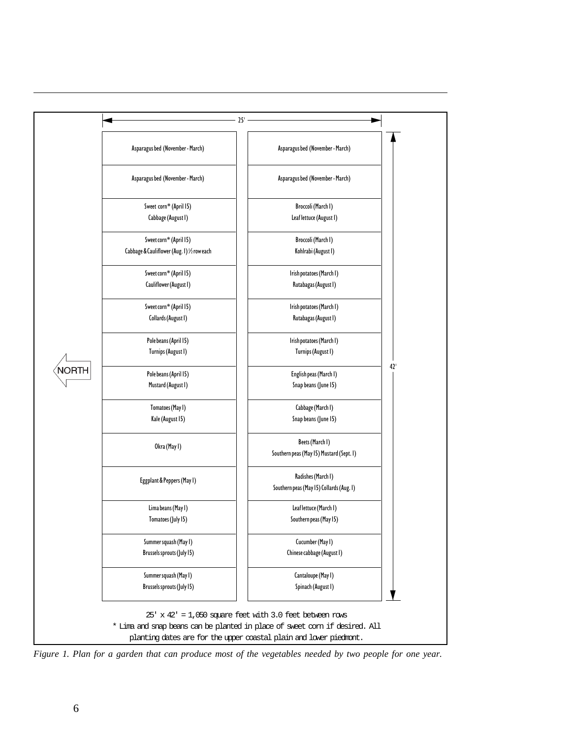

*Figure 1. Plan for a garden that can produce most of the vegetables needed by two people for one year.*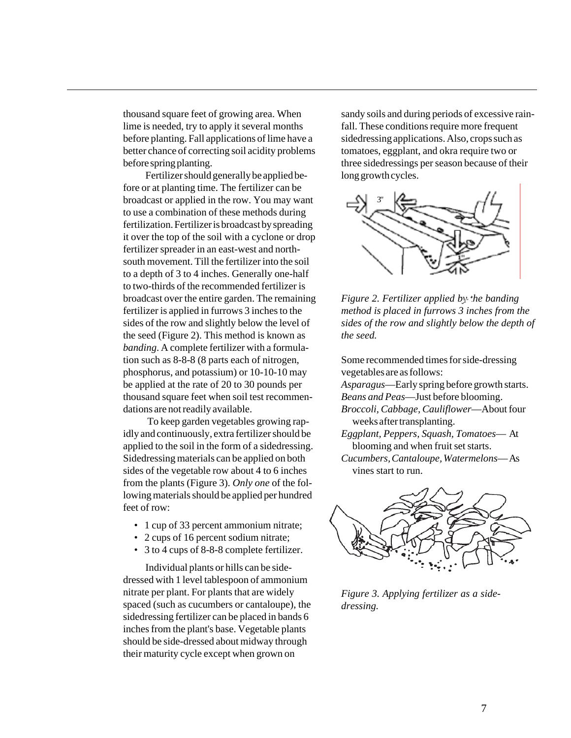thousand square feet of growing area. When lime is needed, try to apply it several months before planting. Fall applications of lime have a better chance of correcting soil acidity problems before spring planting.

Fertilizer should generally be applied before or at planting time. The fertilizer can be broadcast or applied in the row. You may want to use a combination of these methods during fertilization. Fertilizer is broadcast by spreading it over the top of the soil with a cyclone or drop fertilizer spreader in an east-west and northsouth movement. Till the fertilizer into the soil to a depth of 3 to 4 inches. Generally one-half to two-thirds of the recommended fertilizer is broadcast over the entire garden. The remaining fertilizer is applied in furrows 3 inches to the sides of the row and slightly below the level of the seed (Figure 2). This method is known as *banding*. A complete fertilizer with a formulation such as 8-8-8 (8 parts each of nitrogen, phosphorus, and potassium) or 10-10-10 may be applied at the rate of 20 to 30 pounds per thousand square feet when soil test recommendations are not readily available.

 To keep garden vegetables growing rapidly and continuously, extra fertilizer should be applied to the soil in the form of a sidedressing. Sidedressing materials can be applied on both sides of the vegetable row about 4 to 6 inches from the plants (Figure 3). *Only one* of the following materials should be applied per hundred feet of row:

- 1 cup of 33 percent ammonium nitrate;
- 2 cups of 16 percent sodium nitrate;
- 3 to 4 cups of 8-8-8 complete fertilizer.

Individual plants or hills can be sidedressed with 1 level tablespoon of ammonium nitrate per plant. For plants that are widely spaced (such as cucumbers or cantaloupe), the sidedressing fertilizer can be placed in bands 6 inches from the plant's base. Vegetable plants should be side-dressed about midway through their maturity cycle except when grown on

sandy soils and during periods of excessive rainfall. These conditions require more frequent sidedressing applications. Also, crops such as tomatoes, eggplant, and okra require two or three sidedressings per season because of their long growth cycles.



Figure 2. Fertilizer applied by the banding *method is placed in furrows 3 inches from the sides of the row and slightly below the depth of the seed.*

Some recommended times for side-dressing vegetables are as follows:

*Asparagus*—Early spring before growth starts. *Beans and Peas*—Just before blooming.

*Broccoli, Cabbage, Cauliflower*—About four weeks after transplanting.

*Eggplant, Peppers, Squash, Tomatoes*— At blooming and when fruit set starts. *Cucumbers, Cantaloupe, Watermelons*—As

vines start to run.



*Figure 3. Applying fertilizer as a sidedressing.*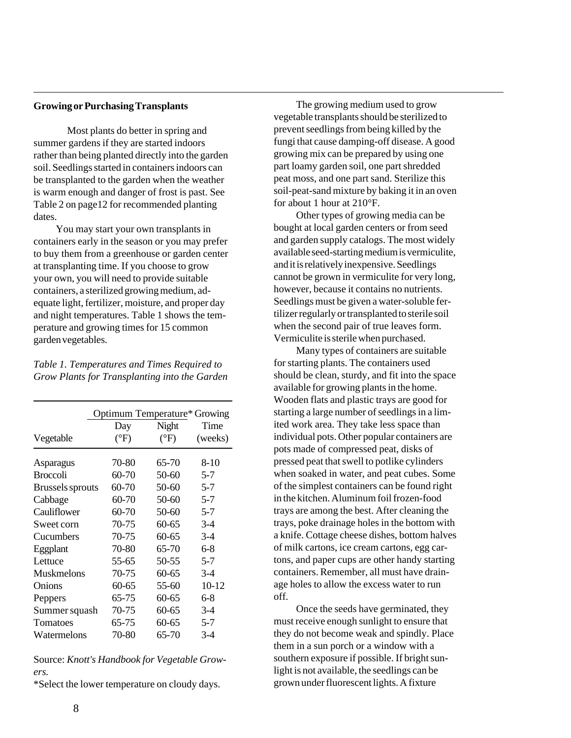### **Growing or Purchasing Transplants**

Most plants do better in spring and summer gardens if they are started indoors rather than being planted directly into the garden soil. Seedlings started in containers indoors can be transplanted to the garden when the weather is warm enough and danger of frost is past. See Table 2 on page12 for recommended planting dates.

You may start your own transplants in containers early in the season or you may prefer to buy them from a greenhouse or garden center at transplanting time. If you choose to grow your own, you will need to provide suitable containers, a sterilized growing medium, adequate light, fertilizer, moisture, and proper day and night temperatures. Table 1 shows the temperature and growing times for 15 common garden vegetables.

## *Table 1. Temperatures and Times Required to Grow Plants for Transplanting into the Garden*

|                         | <b>Optimum Temperature* Growing</b> |               |           |  |  |
|-------------------------|-------------------------------------|---------------|-----------|--|--|
|                         | Day                                 | Night         | Time      |  |  |
| Vegetable               | $(^{\circ}F)$                       | $(^{\circ}F)$ | (weeks)   |  |  |
| Asparagus               | 70-80                               | $65 - 70$     | 8-10      |  |  |
| <b>Broccoli</b>         | 60-70                               | 50-60         | $5 - 7$   |  |  |
| <b>Brussels sprouts</b> | 60-70                               | 50-60         | $5 - 7$   |  |  |
| Cabbage                 | 60-70                               | 50-60         | 5-7       |  |  |
| Cauliflower             | 60-70                               | 50-60         | $5 - 7$   |  |  |
| Sweet corn              | 70-75                               | $60 - 65$     | $3-4$     |  |  |
| Cucumbers               | 70-75                               | 60-65         | $3-4$     |  |  |
| Eggplant                | 70-80                               | $65 - 70$     | 6-8       |  |  |
| Lettuce                 | 55-65                               | 50-55         | $5 - 7$   |  |  |
| <b>Muskmelons</b>       | 70-75                               | 60-65         | $3-4$     |  |  |
| Onions                  | 60-65                               | $55 - 60$     | $10 - 12$ |  |  |
| Peppers                 | 65-75                               | 60-65         | 6-8       |  |  |
| Summer squash           | 70-75                               | 60-65         | $3-4$     |  |  |
| Tomatoes                | 65-75                               | 60-65         | $5 - 7$   |  |  |
| Watermelons             | 70-80                               | 65-70         | $3-4$     |  |  |

Source: *Knott's Handbook for Vegetable Growers.*

\*Select the lower temperature on cloudy days.

The growing medium used to grow vegetable transplants should be sterilized to prevent seedlings from being killed by the fungi that cause damping-off disease. A good growing mix can be prepared by using one part loamy garden soil, one part shredded peat moss, and one part sand. Sterilize this soil-peat-sand mixture by baking it in an oven for about 1 hour at 210°F.

Other types of growing media can be bought at local garden centers or from seed and garden supply catalogs. The most widely available seed-starting medium is vermiculite, and it is relatively inexpensive. Seedlings cannot be grown in vermiculite for very long, however, because it contains no nutrients. Seedlings must be given a water-soluble fertilizer regularly or transplanted to sterile soil when the second pair of true leaves form. Vermiculite is sterile when purchased.

Many types of containers are suitable for starting plants. The containers used should be clean, sturdy, and fit into the space available for growing plants in the home. Wooden flats and plastic trays are good for starting a large number of seedlings in a limited work area. They take less space than individual pots. Other popular containers are pots made of compressed peat, disks of pressed peat that swell to potlike cylinders when soaked in water, and peat cubes. Some of the simplest containers can be found right in the kitchen. Aluminum foil frozen-food trays are among the best. After cleaning the trays, poke drainage holes in the bottom with a knife. Cottage cheese dishes, bottom halves of milk cartons, ice cream cartons, egg cartons, and paper cups are other handy starting containers. Remember, all must have drainage holes to allow the excess water to run off.

Once the seeds have germinated, they must receive enough sunlight to ensure that they do not become weak and spindly. Place them in a sun porch or a window with a southern exposure if possible. If bright sunlight is not available, the seedlings can be grown under fluorescent lights. A fixture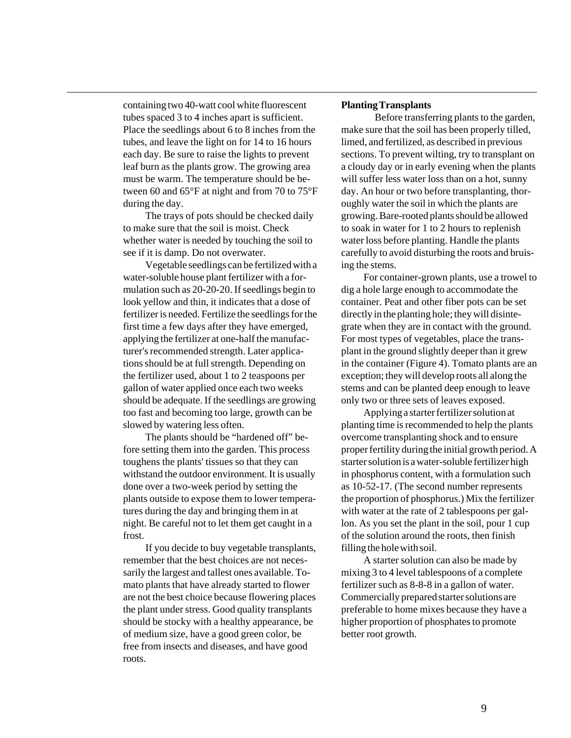containing two 40-watt cool white fluorescent tubes spaced 3 to 4 inches apart is sufficient. Place the seedlings about 6 to 8 inches from the tubes, and leave the light on for 14 to 16 hours each day. Be sure to raise the lights to prevent leaf burn as the plants grow. The growing area must be warm. The temperature should be between 60 and 65°F at night and from 70 to 75°F during the day.

The trays of pots should be checked daily to make sure that the soil is moist. Check whether water is needed by touching the soil to see if it is damp. Do not overwater.

Vegetable seedlings can be fertilized with a water-soluble house plant fertilizer with a formulation such as 20-20-20. If seedlings begin to look yellow and thin, it indicates that a dose of fertilizer is needed. Fertilize the seedlings for the first time a few days after they have emerged, applying the fertilizer at one-half the manufacturer's recommended strength. Later applications should be at full strength. Depending on the fertilizer used, about 1 to 2 teaspoons per gallon of water applied once each two weeks should be adequate. If the seedlings are growing too fast and becoming too large, growth can be slowed by watering less often.

The plants should be "hardened off" before setting them into the garden. This process toughens the plants' tissues so that they can withstand the outdoor environment. It is usually done over a two-week period by setting the plants outside to expose them to lower temperatures during the day and bringing them in at night. Be careful not to let them get caught in a frost.

If you decide to buy vegetable transplants, remember that the best choices are not necessarily the largest and tallest ones available. Tomato plants that have already started to flower are not the best choice because flowering places the plant under stress. Good quality transplants should be stocky with a healthy appearance, be of medium size, have a good green color, be free from insects and diseases, and have good roots.

### **Planting Transplants**

Before transferring plants to the garden, make sure that the soil has been properly tilled, limed, and fertilized, as described in previous sections. To prevent wilting, try to transplant on a cloudy day or in early evening when the plants will suffer less water loss than on a hot, sunny day. An hour or two before transplanting, thoroughly water the soil in which the plants are growing. Bare-rooted plants should be allowed to soak in water for 1 to 2 hours to replenish water loss before planting. Handle the plants carefully to avoid disturbing the roots and bruising the stems.

For container-grown plants, use a trowel to dig a hole large enough to accommodate the container. Peat and other fiber pots can be set directly in the planting hole; they will disintegrate when they are in contact with the ground. For most types of vegetables, place the transplant in the ground slightly deeper than it grew in the container (Figure 4). Tomato plants are an exception; they will develop roots all along the stems and can be planted deep enough to leave only two or three sets of leaves exposed.

Applying a starter fertilizer solution at planting time is recommended to help the plants overcome transplanting shock and to ensure proper fertility during the initial growth period. A starter solution is a water-soluble fertilizer high in phosphorus content, with a formulation such as 10-52-17. (The second number represents the proportion of phosphorus.) Mix the fertilizer with water at the rate of 2 tablespoons per gallon. As you set the plant in the soil, pour 1 cup of the solution around the roots, then finish filling the hole with soil.

A starter solution can also be made by mixing 3 to 4 level tablespoons of a complete fertilizer such as 8-8-8 in a gallon of water. Commercially prepared starter solutions are preferable to home mixes because they have a higher proportion of phosphates to promote better root growth.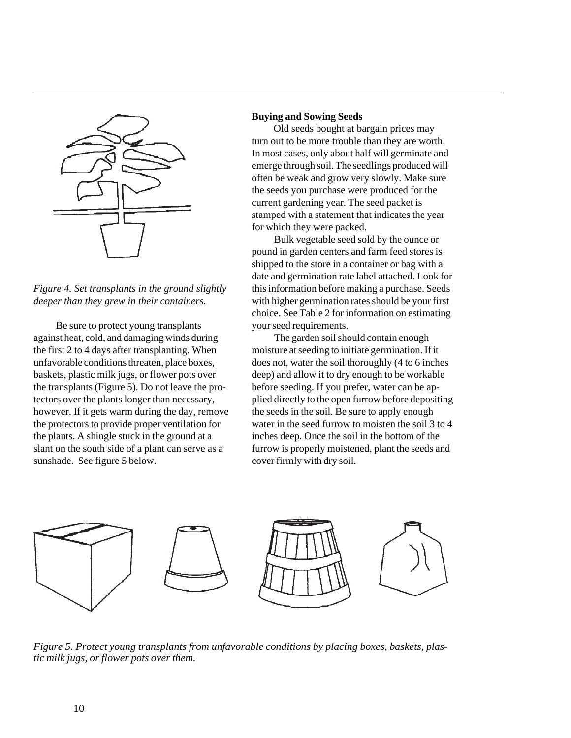

## *Figure 4. Set transplants in the ground slightly deeper than they grew in their containers.*

Be sure to protect young transplants against heat, cold, and damaging winds during the first 2 to 4 days after transplanting. When unfavorable conditions threaten, place boxes, baskets, plastic milk jugs, or flower pots over the transplants (Figure 5). Do not leave the protectors over the plants longer than necessary, however. If it gets warm during the day, remove the protectors to provide proper ventilation for the plants. A shingle stuck in the ground at a slant on the south side of a plant can serve as a sunshade. See figure 5 below.

## **Buying and Sowing Seeds**

 Old seeds bought at bargain prices may turn out to be more trouble than they are worth. In most cases, only about half will germinate and emerge through soil. The seedlings produced will often be weak and grow very slowly. Make sure the seeds you purchase were produced for the current gardening year. The seed packet is stamped with a statement that indicates the year for which they were packed.

Bulk vegetable seed sold by the ounce or pound in garden centers and farm feed stores is shipped to the store in a container or bag with a date and germination rate label attached. Look for this information before making a purchase. Seeds with higher germination rates should be your first choice. See Table 2 for information on estimating your seed requirements.

The garden soil should contain enough moisture at seeding to initiate germination. If it does not, water the soil thoroughly (4 to 6 inches deep) and allow it to dry enough to be workable before seeding. If you prefer, water can be applied directly to the open furrow before depositing the seeds in the soil. Be sure to apply enough water in the seed furrow to moisten the soil 3 to 4 inches deep. Once the soil in the bottom of the furrow is properly moistened, plant the seeds and cover firmly with dry soil.



*Figure 5. Protect young transplants from unfavorable conditions by placing boxes, baskets, plastic milk jugs, or flower pots over them.*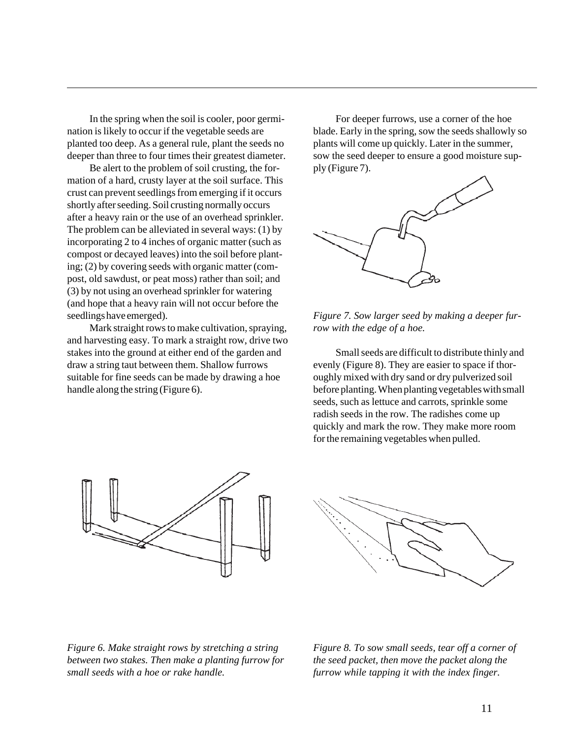In the spring when the soil is cooler, poor germination is likely to occur if the vegetable seeds are planted too deep. As a general rule, plant the seeds no deeper than three to four times their greatest diameter.

Be alert to the problem of soil crusting, the formation of a hard, crusty layer at the soil surface. This crust can prevent seedlings from emerging if it occurs shortly after seeding. Soil crusting normally occurs after a heavy rain or the use of an overhead sprinkler. The problem can be alleviated in several ways: (1) by incorporating 2 to 4 inches of organic matter (such as compost or decayed leaves) into the soil before planting; (2) by covering seeds with organic matter (compost, old sawdust, or peat moss) rather than soil; and (3) by not using an overhead sprinkler for watering (and hope that a heavy rain will not occur before the seedlings have emerged).

Mark straight rows to make cultivation, spraying, and harvesting easy. To mark a straight row, drive two stakes into the ground at either end of the garden and draw a string taut between them. Shallow furrows suitable for fine seeds can be made by drawing a hoe handle along the string (Figure 6).

For deeper furrows, use a corner of the hoe blade. Early in the spring, sow the seeds shallowly so plants will come up quickly. Later in the summer, sow the seed deeper to ensure a good moisture supply (Figure 7).



*Figure 7. Sow larger seed by making a deeper furrow with the edge of a hoe.*

Small seeds are difficult to distribute thinly and evenly (Figure 8). They are easier to space if thoroughly mixed with dry sand or dry pulverized soil before planting. When planting vegetables with small seeds, such as lettuce and carrots, sprinkle some radish seeds in the row. The radishes come up quickly and mark the row. They make more room for the remaining vegetables when pulled.





*Figure 6. Make straight rows by stretching a string between two stakes. Then make a planting furrow for small seeds with a hoe or rake handle.*

*Figure 8. To sow small seeds, tear off a corner of the seed packet, then move the packet along the furrow while tapping it with the index finger.*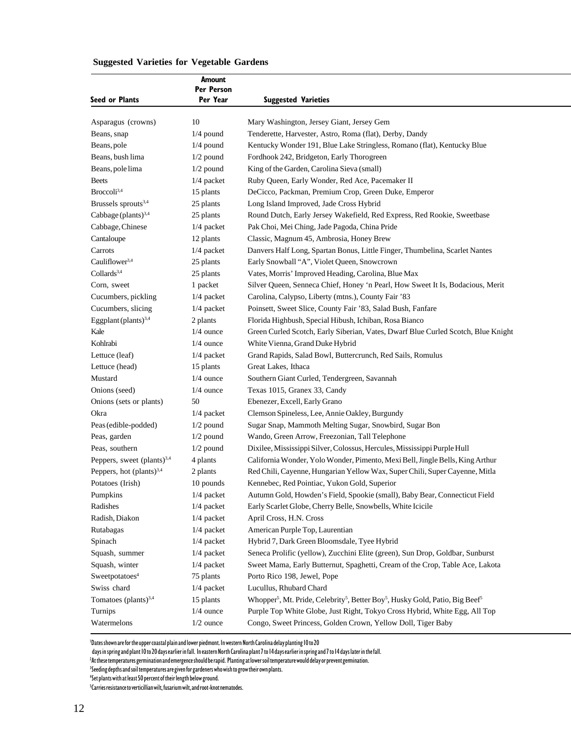## **Suggested Varieties for Vegetable Gardens**

| <b>Seed or Plants</b>                   | Amount<br>Per Person<br>Per Year | <b>Suggested Varieties</b>                                                                                                    |
|-----------------------------------------|----------------------------------|-------------------------------------------------------------------------------------------------------------------------------|
| Asparagus (crowns)                      | 10                               | Mary Washington, Jersey Giant, Jersey Gem                                                                                     |
| Beans, snap                             | $1/4$ pound                      | Tenderette, Harvester, Astro, Roma (flat), Derby, Dandy                                                                       |
| Beans, pole                             | $1/4$ pound                      | Kentucky Wonder 191, Blue Lake Stringless, Romano (flat), Kentucky Blue                                                       |
| Beans, bush lima                        |                                  |                                                                                                                               |
|                                         | $1/2$ pound                      | Fordhook 242, Bridgeton, Early Thorogreen                                                                                     |
| Beans, pole lima                        | $1/2$ pound                      | King of the Garden, Carolina Sieva (small)                                                                                    |
| <b>Beets</b><br>Broccoli <sup>3,4</sup> | 1/4 packet                       | Ruby Queen, Early Wonder, Red Ace, Pacemaker II                                                                               |
|                                         | 15 plants                        | DeCicco, Packman, Premium Crop, Green Duke, Emperor                                                                           |
| Brussels sprouts <sup>3,4</sup>         | 25 plants                        | Long Island Improved, Jade Cross Hybrid                                                                                       |
| Cabbage (plants) <sup>3,4</sup>         | 25 plants                        | Round Dutch, Early Jersey Wakefield, Red Express, Red Rookie, Sweetbase                                                       |
| Cabbage, Chinese                        | 1/4 packet                       | Pak Choi, Mei Ching, Jade Pagoda, China Pride                                                                                 |
| Cantaloupe                              | 12 plants                        | Classic, Magnum 45, Ambrosia, Honey Brew                                                                                      |
| Carrots                                 | 1/4 packet                       | Danvers Half Long, Spartan Bonus, Little Finger, Thumbelina, Scarlet Nantes                                                   |
| Cauliflower <sup>3,4</sup>              | 25 plants                        | Early Snowball "A", Violet Queen, Snowcrown                                                                                   |
| Collards <sup>3,4</sup>                 | 25 plants                        | Vates, Morris' Improved Heading, Carolina, Blue Max                                                                           |
| Corn, sweet                             | 1 packet                         | Silver Queen, Senneca Chief, Honey 'n Pearl, How Sweet It Is, Bodacious, Merit                                                |
| Cucumbers, pickling                     | 1/4 packet                       | Carolina, Calypso, Liberty (mtns.), County Fair '83                                                                           |
| Cucumbers, slicing                      | 1/4 packet                       | Poinsett, Sweet Slice, County Fair '83, Salad Bush, Fanfare                                                                   |
| Eggplant (plants) $3,4$                 | 2 plants                         | Florida Highbush, Special Hibush, Ichiban, Rosa Bianco                                                                        |
| Kale                                    | $1/4$ ounce                      | Green Curled Scotch, Early Siberian, Vates, Dwarf Blue Curled Scotch, Blue Knight                                             |
| Kohlrabi                                | $1/4$ ounce                      | White Vienna, Grand Duke Hybrid                                                                                               |
| Lettuce (leaf)                          | $1/4$ packet                     | Grand Rapids, Salad Bowl, Buttercrunch, Red Sails, Romulus                                                                    |
| Lettuce (head)                          | 15 plants                        | Great Lakes, Ithaca                                                                                                           |
| Mustard                                 | $1/4$ ounce                      | Southern Giant Curled, Tendergreen, Savannah                                                                                  |
| Onions (seed)                           | $1/4$ ounce                      | Texas 1015, Granex 33, Candy                                                                                                  |
| Onions (sets or plants)                 | 50                               | Ebenezer, Excell, Early Grano                                                                                                 |
| Okra                                    | 1/4 packet                       | Clemson Spineless, Lee, Annie Oakley, Burgundy                                                                                |
| Peas (edible-podded)                    | $1/2$ pound                      | Sugar Snap, Mammoth Melting Sugar, Snowbird, Sugar Bon                                                                        |
| Peas, garden                            | $1/2$ pound                      | Wando, Green Arrow, Freezonian, Tall Telephone                                                                                |
| Peas, southern                          | $1/2$ pound                      | Dixilee, Mississippi Silver, Colossus, Hercules, Mississippi Purple Hull                                                      |
| Peppers, sweet (plants) $^{3,4}$        | 4 plants                         | California Wonder, Yolo Wonder, Pimento, Mexi Bell, Jingle Bells, King Arthur                                                 |
| Peppers, hot (plants) <sup>3,4</sup>    | 2 plants                         | Red Chili, Cayenne, Hungarian Yellow Wax, Super Chili, Super Cayenne, Mitla                                                   |
| Potatoes (Irish)                        | 10 pounds                        | Kennebec, Red Pointiac, Yukon Gold, Superior                                                                                  |
| Pumpkins                                | $1/4$ packet                     | Autumn Gold, Howden's Field, Spookie (small), Baby Bear, Connecticut Field                                                    |
| Radishes                                | 1/4 packet                       | Early Scarlet Globe, Cherry Belle, Snowbells, White Icicile                                                                   |
| Radish, Diakon                          | 1/4 packet                       | April Cross, H.N. Cross                                                                                                       |
| Rutabagas                               | $1/4$ packet                     | American Purple Top, Laurentian                                                                                               |
| Spinach                                 | 1/4 packet                       | Hybrid 7, Dark Green Bloomsdale, Tyee Hybrid                                                                                  |
| Squash, summer                          | 1/4 packet                       | Seneca Prolific (yellow), Zucchini Elite (green), Sun Drop, Goldbar, Sunburst                                                 |
| Squash, winter                          | $1/4$ packet                     | Sweet Mama, Early Butternut, Spaghetti, Cream of the Crop, Table Ace, Lakota                                                  |
| Sweetpotatoes <sup>4</sup>              | 75 plants                        | Porto Rico 198, Jewel, Pope                                                                                                   |
| Swiss chard                             | 1/4 packet                       | Lucullus, Rhubard Chard                                                                                                       |
| Tomatoes (plants) $3,4$                 | 15 plants                        | Whopper <sup>5</sup> , Mt. Pride, Celebrity <sup>5</sup> , Better Boy <sup>5</sup> , Husky Gold, Patio, Big Beef <sup>5</sup> |
| Turnips                                 | $1/4$ ounce                      | Purple Top White Globe, Just Right, Tokyo Cross Hybrid, White Egg, All Top                                                    |
| Watermelons                             | $1/2$ ounce                      | Congo, Sweet Princess, Golden Crown, Yellow Doll, Tiger Baby                                                                  |

1 Dates shown are for the upper coastal plain and lower piedmont. In western North Carolina delay planting 10 to 20

days in spring and plant 10 to 20 days earlier in fall. In eastern North Carolina plant 7 to 14 days earlier in spring and 7 to 14 days later in the fall.

<sup>2</sup>At these temperatures germination and emergence should be rapid. Planting at lower soil temperature would delay or prevent germination.

<sup>3</sup>Seeding depths and soil temperatures are given for gardeners who wish to grow their own plants.<br><sup>4</sup>Set plants with at least 50 percent of their length below ground.

<sup>5</sup> Carries resistance to verticillian wilt, fusarium wilt, and root-knot nematodes.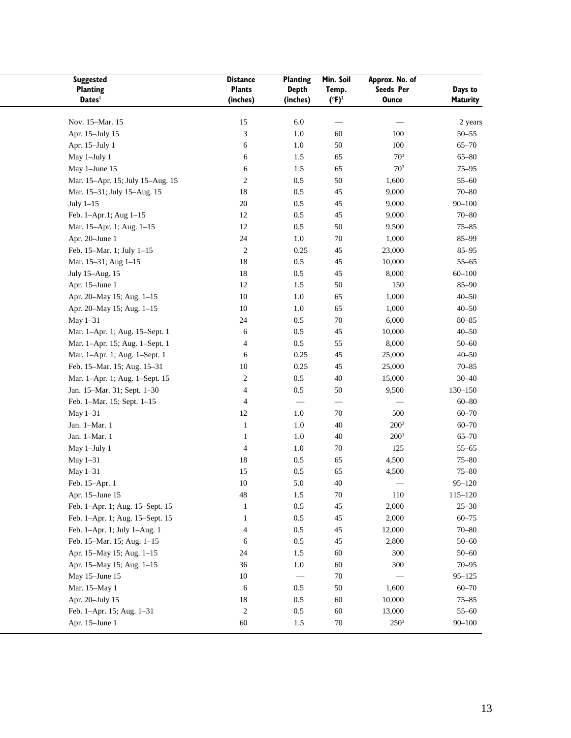| <b>Suggested</b><br>Planting<br>Dates' | <b>Distance</b><br><b>Plants</b><br>(inches) | <b>Planting</b><br><b>Depth</b><br>(inches) | Min. Soil<br>Temp.<br>$(^{\circ}F)^2$ | Approx. No. of<br>Seeds Per<br><b>Ounce</b> | Days to<br><b>Maturity</b> |
|----------------------------------------|----------------------------------------------|---------------------------------------------|---------------------------------------|---------------------------------------------|----------------------------|
| Nov. 15-Mar. 15                        | 15                                           | 6.0                                         |                                       |                                             | 2 years                    |
| Apr. 15-July 15                        | 3                                            | $1.0\,$                                     | 60                                    | 100                                         | $50 - 55$                  |
| Apr. 15-July 1                         | 6                                            | 1.0                                         | 50                                    | 100                                         | $65 - 70$                  |
| May 1-July 1                           | 6                                            | 1.5                                         | 65                                    | 70 <sup>3</sup>                             | $65 - 80$                  |
| May 1-June 15                          | 6                                            | 1.5                                         | 65                                    | 70 <sup>3</sup>                             | $75 - 95$                  |
| Mar. 15-Apr. 15; July 15-Aug. 15       | $\overline{c}$                               | $0.5\,$                                     | 50                                    | 1,600                                       | $55 - 60$                  |
| Mar. 15-31; July 15-Aug. 15            | 18                                           | 0.5                                         | 45                                    | 9,000                                       | $70 - 80$                  |
| July $1-15$                            | $20\,$                                       | 0.5                                         | 45                                    | 9,000                                       | $90 - 100$                 |
| Feb. 1-Apr.1; Aug 1-15                 | 12                                           | 0.5                                         | 45                                    | 9,000                                       | $70 - 80$                  |
| Mar. 15-Apr. 1; Aug. 1-15              | 12                                           | $0.5\,$                                     | 50                                    | 9,500                                       | $75 - 85$                  |
| Apr. 20–June 1                         | 24                                           | 1.0                                         | 70                                    | 1,000                                       | $85 - 99$                  |
| Feb. 15-Mar. 1; July 1-15              | $\overline{c}$                               | 0.25                                        | 45                                    | 23,000                                      | $85 - 95$                  |
| Mar. 15-31; Aug 1-15                   | 18                                           | $0.5\,$                                     | 45                                    | 10,000                                      | $55 - 65$                  |
| July 15-Aug. 15                        | 18                                           | 0.5                                         | 45                                    | 8,000                                       | $60 - 100$                 |
| Apr. 15-June 1                         | 12                                           | 1.5                                         | 50                                    | 150                                         | 85-90                      |
| Apr. 20-May 15; Aug. 1-15              | $10\,$                                       | 1.0                                         | 65                                    | 1,000                                       | $40 - 50$                  |
| Apr. 20-May 15; Aug. 1-15              | $10\,$                                       | 1.0                                         | 65                                    | 1,000                                       | $40 - 50$                  |
| May 1-31                               | 24                                           | 0.5                                         | $70\,$                                | 6,000                                       | $80 - 85$                  |
| Mar. 1-Apr. 1; Aug. 15-Sept. 1         | 6                                            | 0.5                                         | 45                                    | 10,000                                      | $40 - 50$                  |
| Mar. 1-Apr. 15; Aug. 1-Sept. 1         | 4                                            | 0.5                                         | 55                                    | 8,000                                       | $50 - 60$                  |
| Mar. 1-Apr. 1; Aug. 1-Sept. 1          | 6                                            | 0.25                                        | 45                                    | 25,000                                      | $40 - 50$                  |
| Feb. 15-Mar. 15; Aug. 15-31            | 10                                           | 0.25                                        | 45                                    | 25,000                                      | $70 - 85$                  |
| Mar. 1-Apr. 1; Aug. 1-Sept. 15         | $\overline{c}$                               | $0.5\,$                                     | 40                                    | 15,000                                      | $30 - 40$                  |
| Jan. 15-Mar. 31; Sept. 1-30            | 4                                            | $0.5\,$                                     | 50                                    | 9,500                                       | $130 - 150$                |
| Feb. 1-Mar. 15; Sept. 1-15             | 4                                            |                                             |                                       |                                             | $60 - 80$                  |
| May $1-31$                             | 12                                           | 1.0                                         | 70                                    | 500                                         | $60 - 70$                  |
| Jan. 1-Mar. 1                          | $\mathbf{1}$                                 | 1.0                                         | 40                                    | $200^3$                                     | $60 - 70$                  |
| Jan. 1-Mar. 1                          | $\mathbf{1}$                                 | 1.0                                         | 40                                    | $200^{3}$                                   | $65 - 70$                  |
| May 1-July 1                           | 4                                            | 1.0                                         | $70\,$                                | 125                                         | $55 - 65$                  |
| May $1-31$                             | 18                                           | $0.5\,$                                     | 65                                    | 4,500                                       | $75 - 80$                  |
| May $1-31$                             | 15                                           | $0.5\,$                                     | 65                                    | 4,500                                       | $75 - 80$                  |
| Feb. 15-Apr. 1                         | $10\,$                                       | 5.0                                         | 40                                    |                                             | $95 - 120$                 |
| Apr. 15-June 15                        | $\sqrt{48}$                                  | 1.5                                         | $70\,$                                | 110                                         | $115 - 120$                |
| Feb. 1-Apr. 1; Aug. 15-Sept. 15        | $\mathbf{1}$                                 | $0.5\,$                                     | 45                                    | 2,000                                       | $25 - 30$                  |
| Feb. 1-Apr. 1; Aug. 15-Sept. 15        | $\mathbf{1}$                                 | $0.5\,$                                     | 45                                    | 2,000                                       | $60 - 75$                  |
| Feb. 1-Apr. 1; July 1-Aug. 1           | 4                                            | $0.5\,$                                     | 45                                    | 12,000                                      | $70 - 80$                  |
| Feb. 15-Mar. 15; Aug. 1-15             | 6                                            | $0.5\,$                                     | 45                                    | 2,800                                       | $50 - 60$                  |
| Apr. 15-May 15; Aug. 1-15              | 24                                           | 1.5                                         | 60                                    | 300                                         | $50 - 60$                  |
| Apr. 15-May 15; Aug. 1-15              | 36                                           | $1.0\,$                                     | 60                                    | 300                                         | $70 - 95$                  |
| May 15-June 15                         | 10                                           |                                             | 70                                    |                                             | $95 - 125$                 |
| Mar. 15-May 1                          | 6                                            | 0.5                                         | $50\,$                                | 1,600                                       | $60 - 70$                  |
| Apr. 20-July 15                        | 18                                           | $0.5\,$                                     | 60                                    | 10,000                                      | $75 - 85$                  |
| Feb. 1-Apr. 15; Aug. 1-31              | $\mathfrak{2}$                               | $0.5\,$                                     | 60                                    | 13,000                                      | $55 - 60$                  |
| Apr. 15-June 1                         | 60                                           | 1.5                                         | 70                                    | $250^{3}$                                   | $90 - 100$                 |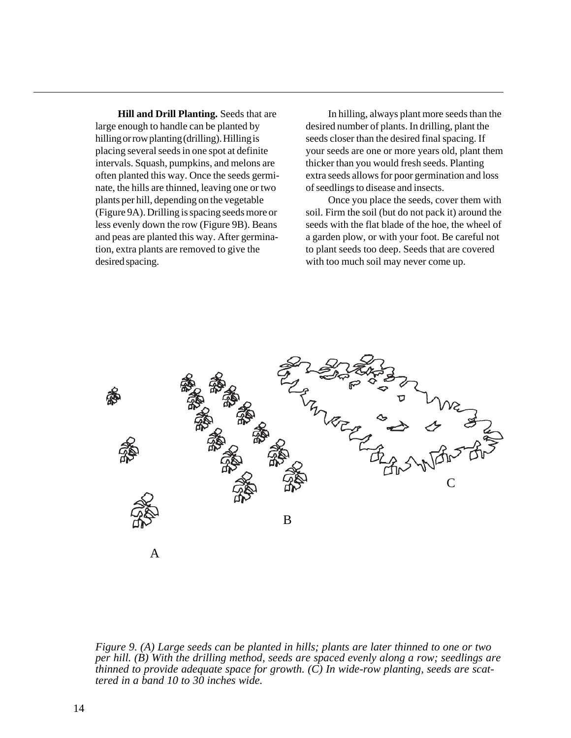**Hill and Drill Planting.** Seeds that are large enough to handle can be planted by hilling or row planting (drilling). Hilling is placing several seeds in one spot at definite intervals. Squash, pumpkins, and melons are often planted this way. Once the seeds germinate, the hills are thinned, leaving one or two plants per hill, depending on the vegetable (Figure 9A). Drilling is spacing seeds more or less evenly down the row (Figure 9B). Beans and peas are planted this way. After germination, extra plants are removed to give the desired spacing.

In hilling, always plant more seeds than the desired number of plants. In drilling, plant the seeds closer than the desired final spacing. If your seeds are one or more years old, plant them thicker than you would fresh seeds. Planting extra seeds allows for poor germination and loss of seedlings to disease and insects.

Once you place the seeds, cover them with soil. Firm the soil (but do not pack it) around the seeds with the flat blade of the hoe, the wheel of a garden plow, or with your foot. Be careful not to plant seeds too deep. Seeds that are covered with too much soil may never come up.



*Figure 9. (A) Large seeds can be planted in hills; plants are later thinned to one or two per hill. (B) With the drilling method, seeds are spaced evenly along a row; seedlings are thinned to provide adequate space for growth. (C) In wide-row planting, seeds are scattered in a band 10 to 30 inches wide.*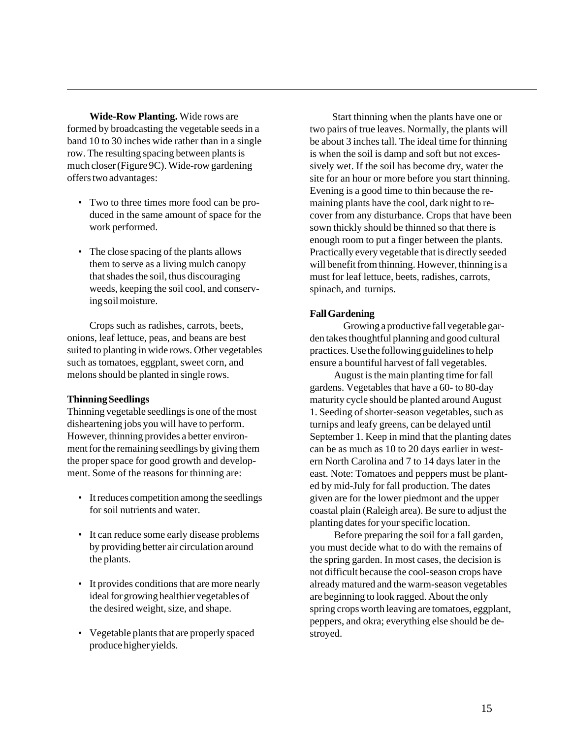**Wide-Row Planting.** Wide rows are formed by broadcasting the vegetable seeds in a band 10 to 30 inches wide rather than in a single row. The resulting spacing between plants is much closer (Figure 9C). Wide-row gardening offers two advantages:

- Two to three times more food can be produced in the same amount of space for the work performed.
- The close spacing of the plants allows them to serve as a living mulch canopy that shades the soil, thus discouraging weeds, keeping the soil cool, and conserving soil moisture.

Crops such as radishes, carrots, beets, onions, leaf lettuce, peas, and beans are best suited to planting in wide rows. Other vegetables such as tomatoes, eggplant, sweet corn, and melons should be planted in single rows.

## **Thinning Seedlings**

Thinning vegetable seedlings is one of the most disheartening jobs you will have to perform. However, thinning provides a better environment for the remaining seedlings by giving them the proper space for good growth and development. Some of the reasons for thinning are:

- It reduces competition among the seedlings for soil nutrients and water.
- It can reduce some early disease problems by providing better air circulation around the plants.
- It provides conditions that are more nearly ideal for growing healthier vegetables of the desired weight, size, and shape.
- Vegetable plants that are properly spaced produce higher yields.

Start thinning when the plants have one or two pairs of true leaves. Normally, the plants will be about 3 inches tall. The ideal time for thinning is when the soil is damp and soft but not excessively wet. If the soil has become dry, water the site for an hour or more before you start thinning. Evening is a good time to thin because the remaining plants have the cool, dark night to recover from any disturbance. Crops that have been sown thickly should be thinned so that there is enough room to put a finger between the plants. Practically every vegetable that is directly seeded will benefit from thinning. However, thinning is a must for leaf lettuce, beets, radishes, carrots, spinach, and turnips.

## **Fall Gardening**

Growing a productive fall vegetable garden takes thoughtful planning and good cultural practices. Use the following guidelines to help ensure a bountiful harvest of fall vegetables.

 August is the main planting time for fall gardens. Vegetables that have a 60- to 80-day maturity cycle should be planted around August 1. Seeding of shorter-season vegetables, such as turnips and leafy greens, can be delayed until September 1. Keep in mind that the planting dates can be as much as 10 to 20 days earlier in western North Carolina and 7 to 14 days later in the east. Note: Tomatoes and peppers must be planted by mid-July for fall production. The dates given are for the lower piedmont and the upper coastal plain (Raleigh area). Be sure to adjust the planting dates for your specific location.

 Before preparing the soil for a fall garden, you must decide what to do with the remains of the spring garden. In most cases, the decision is not difficult because the cool-season crops have already matured and the warm-season vegetables are beginning to look ragged. About the only spring crops worth leaving are tomatoes, eggplant, peppers, and okra; everything else should be destroyed.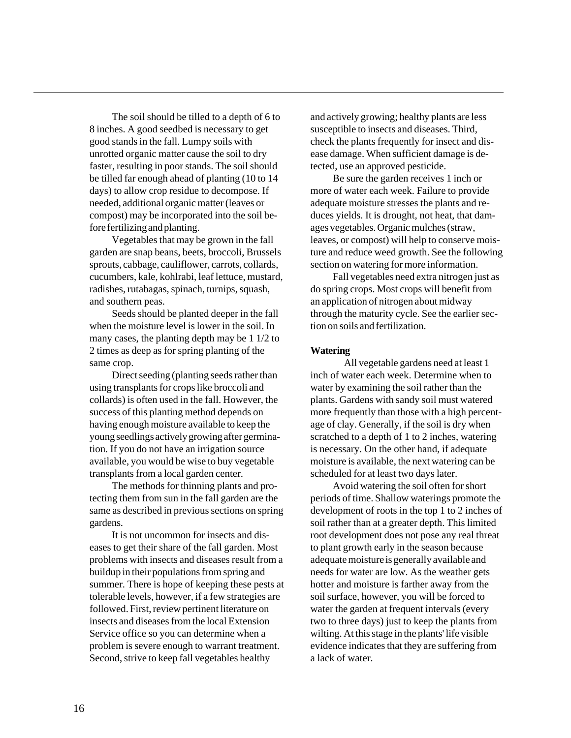The soil should be tilled to a depth of 6 to 8 inches. A good seedbed is necessary to get good stands in the fall. Lumpy soils with unrotted organic matter cause the soil to dry faster, resulting in poor stands. The soil should be tilled far enough ahead of planting (10 to 14 days) to allow crop residue to decompose. If needed, additional organic matter (leaves or compost) may be incorporated into the soil before fertilizing and planting.

Vegetables that may be grown in the fall garden are snap beans, beets, broccoli, Brussels sprouts, cabbage, cauliflower, carrots, collards, cucumbers, kale, kohlrabi, leaf lettuce, mustard, radishes, rutabagas, spinach, turnips, squash, and southern peas.

Seeds should be planted deeper in the fall when the moisture level is lower in the soil. In many cases, the planting depth may be 1 1/2 to 2 times as deep as for spring planting of the same crop.

Direct seeding (planting seeds rather than using transplants for crops like broccoli and collards) is often used in the fall. However, the success of this planting method depends on having enough moisture available to keep the young seedlings actively growing after germination. If you do not have an irrigation source available, you would be wise to buy vegetable transplants from a local garden center.

The methods for thinning plants and protecting them from sun in the fall garden are the same as described in previous sections on spring gardens.

It is not uncommon for insects and diseases to get their share of the fall garden. Most problems with insects and diseases result from a buildup in their populations from spring and summer. There is hope of keeping these pests at tolerable levels, however, if a few strategies are followed. First, review pertinent literature on insects and diseases from the local Extension Service office so you can determine when a problem is severe enough to warrant treatment. Second, strive to keep fall vegetables healthy

and actively growing; healthy plants are less susceptible to insects and diseases. Third, check the plants frequently for insect and disease damage. When sufficient damage is detected, use an approved pesticide.

Be sure the garden receives 1 inch or more of water each week. Failure to provide adequate moisture stresses the plants and reduces yields. It is drought, not heat, that damages vegetables. Organic mulches (straw, leaves, or compost) will help to conserve moisture and reduce weed growth. See the following section on watering for more information.

Fall vegetables need extra nitrogen just as do spring crops. Most crops will benefit from an application of nitrogen about midway through the maturity cycle. See the earlier section on soils and fertilization.

## **Watering**

All vegetable gardens need at least 1 inch of water each week. Determine when to water by examining the soil rather than the plants. Gardens with sandy soil must watered more frequently than those with a high percentage of clay. Generally, if the soil is dry when scratched to a depth of 1 to 2 inches, watering is necessary. On the other hand, if adequate moisture is available, the next watering can be scheduled for at least two days later.

Avoid watering the soil often for short periods of time. Shallow waterings promote the development of roots in the top 1 to 2 inches of soil rather than at a greater depth. This limited root development does not pose any real threat to plant growth early in the season because adequate moisture is generally available and needs for water are low. As the weather gets hotter and moisture is farther away from the soil surface, however, you will be forced to water the garden at frequent intervals (every two to three days) just to keep the plants from wilting. At this stage in the plants' life visible evidence indicates that they are suffering from a lack of water.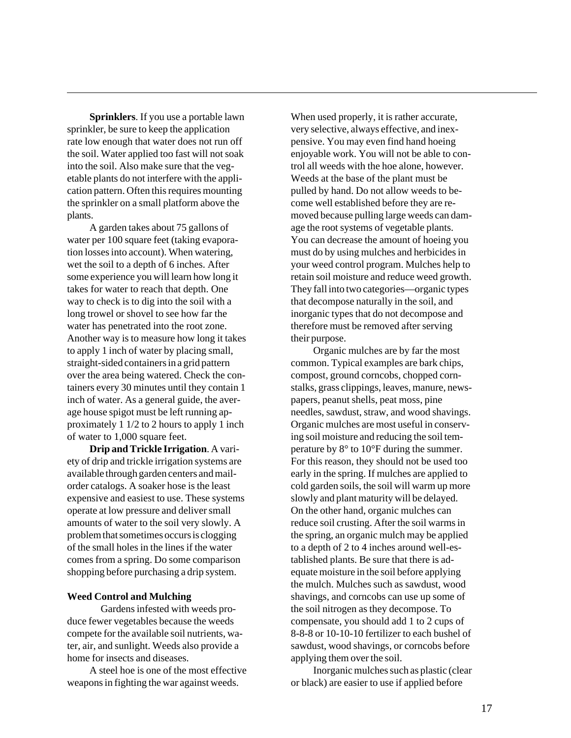**Sprinklers**. If you use a portable lawn sprinkler, be sure to keep the application rate low enough that water does not run off the soil. Water applied too fast will not soak into the soil. Also make sure that the vegetable plants do not interfere with the application pattern. Often this requires mounting the sprinkler on a small platform above the plants.

A garden takes about 75 gallons of water per 100 square feet (taking evaporation losses into account). When watering, wet the soil to a depth of 6 inches. After some experience you will learn how long it takes for water to reach that depth. One way to check is to dig into the soil with a long trowel or shovel to see how far the water has penetrated into the root zone. Another way is to measure how long it takes to apply 1 inch of water by placing small, straight-sided containers in a grid pattern over the area being watered. Check the containers every 30 minutes until they contain 1 inch of water. As a general guide, the average house spigot must be left running approximately 1 1/2 to 2 hours to apply 1 inch of water to 1,000 square feet.

**Drip and Trickle Irrigation**. A variety of drip and trickle irrigation systems are available through garden centers and mailorder catalogs. A soaker hose is the least expensive and easiest to use. These systems operate at low pressure and deliver small amounts of water to the soil very slowly. A problem that sometimes occurs is clogging of the small holes in the lines if the water comes from a spring. Do some comparison shopping before purchasing a drip system.

### **Weed Control and Mulching**

Gardens infested with weeds produce fewer vegetables because the weeds compete for the available soil nutrients, water, air, and sunlight. Weeds also provide a home for insects and diseases.

A steel hoe is one of the most effective weapons in fighting the war against weeds.

When used properly, it is rather accurate, very selective, always effective, and inexpensive. You may even find hand hoeing enjoyable work. You will not be able to control all weeds with the hoe alone, however. Weeds at the base of the plant must be pulled by hand. Do not allow weeds to become well established before they are removed because pulling large weeds can damage the root systems of vegetable plants. You can decrease the amount of hoeing you must do by using mulches and herbicides in your weed control program. Mulches help to retain soil moisture and reduce weed growth. They fall into two categories—organic types that decompose naturally in the soil, and inorganic types that do not decompose and therefore must be removed after serving their purpose.

Organic mulches are by far the most common. Typical examples are bark chips, compost, ground corncobs, chopped cornstalks, grass clippings, leaves, manure, newspapers, peanut shells, peat moss, pine needles, sawdust, straw, and wood shavings. Organic mulches are most useful in conserving soil moisture and reducing the soil temperature by 8° to 10°F during the summer. For this reason, they should not be used too early in the spring. If mulches are applied to cold garden soils, the soil will warm up more slowly and plant maturity will be delayed. On the other hand, organic mulches can reduce soil crusting. After the soil warms in the spring, an organic mulch may be applied to a depth of 2 to 4 inches around well-established plants. Be sure that there is adequate moisture in the soil before applying the mulch. Mulches such as sawdust, wood shavings, and corncobs can use up some of the soil nitrogen as they decompose. To compensate, you should add 1 to 2 cups of 8-8-8 or 10-10-10 fertilizer to each bushel of sawdust, wood shavings, or corncobs before applying them over the soil.

Inorganic mulches such as plastic (clear or black) are easier to use if applied before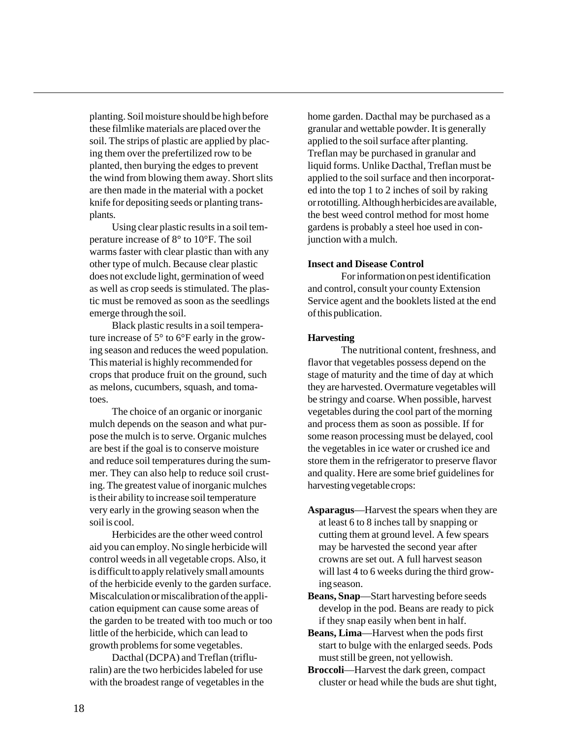planting. Soil moisture should be high before these filmlike materials are placed over the soil. The strips of plastic are applied by placing them over the prefertilized row to be planted, then burying the edges to prevent the wind from blowing them away. Short slits are then made in the material with a pocket knife for depositing seeds or planting transplants.

Using clear plastic results in a soil temperature increase of 8° to 10°F. The soil warms faster with clear plastic than with any other type of mulch. Because clear plastic does not exclude light, germination of weed as well as crop seeds is stimulated. The plastic must be removed as soon as the seedlings emerge through the soil.

Black plastic results in a soil temperature increase of 5° to 6°F early in the growing season and reduces the weed population. This material is highly recommended for crops that produce fruit on the ground, such as melons, cucumbers, squash, and tomatoes.

The choice of an organic or inorganic mulch depends on the season and what purpose the mulch is to serve. Organic mulches are best if the goal is to conserve moisture and reduce soil temperatures during the summer. They can also help to reduce soil crusting. The greatest value of inorganic mulches is their ability to increase soil temperature very early in the growing season when the soil is cool.

Herbicides are the other weed control aid you can employ. No single herbicide will control weeds in all vegetable crops. Also, it is difficult to apply relatively small amounts of the herbicide evenly to the garden surface. Miscalculation or miscalibration of the application equipment can cause some areas of the garden to be treated with too much or too little of the herbicide, which can lead to growth problems for some vegetables.

Dacthal (DCPA) and Treflan (trifluralin) are the two herbicides labeled for use with the broadest range of vegetables in the

home garden. Dacthal may be purchased as a granular and wettable powder. It is generally applied to the soil surface after planting. Treflan may be purchased in granular and liquid forms. Unlike Dacthal, Treflan must be applied to the soil surface and then incorporated into the top 1 to 2 inches of soil by raking or rototilling. Although herbicides are available, the best weed control method for most home gardens is probably a steel hoe used in conjunction with a mulch.

### **Insect and Disease Control**

For information on pest identification and control, consult your county Extension Service agent and the booklets listed at the end of this publication.

## **Harvesting**

The nutritional content, freshness, and flavor that vegetables possess depend on the stage of maturity and the time of day at which they are harvested. Overmature vegetables will be stringy and coarse. When possible, harvest vegetables during the cool part of the morning and process them as soon as possible. If for some reason processing must be delayed, cool the vegetables in ice water or crushed ice and store them in the refrigerator to preserve flavor and quality. Here are some brief guidelines for harvesting vegetable crops:

- **Asparagus**—Harvest the spears when they are at least 6 to 8 inches tall by snapping or cutting them at ground level. A few spears may be harvested the second year after crowns are set out. A full harvest season will last 4 to 6 weeks during the third growing season.
- **Beans, Snap**—Start harvesting before seeds develop in the pod. Beans are ready to pick if they snap easily when bent in half.
- **Beans, Lima**—Harvest when the pods first start to bulge with the enlarged seeds. Pods must still be green, not yellowish.
- **Broccoli**—Harvest the dark green, compact cluster or head while the buds are shut tight,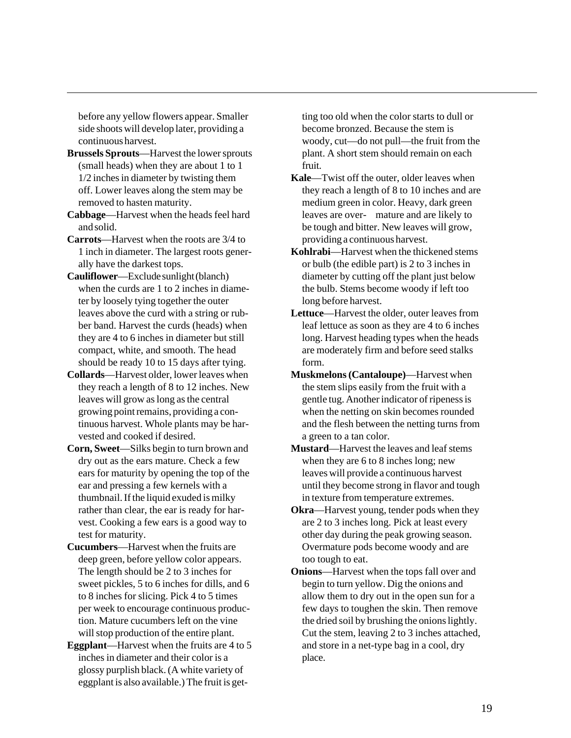before any yellow flowers appear. Smaller side shoots will develop later, providing a continuous harvest.

- **Brussels Sprouts**—Harvest the lower sprouts (small heads) when they are about 1 to 1 1/2 inches in diameter by twisting them off. Lower leaves along the stem may be removed to hasten maturity.
- **Cabbage**—Harvest when the heads feel hard and solid.
- **Carrots**—Harvest when the roots are 3/4 to 1 inch in diameter. The largest roots generally have the darkest tops.
- **Cauliflower**—Exclude sunlight (blanch) when the curds are 1 to 2 inches in diameter by loosely tying together the outer leaves above the curd with a string or rubber band. Harvest the curds (heads) when they are 4 to 6 inches in diameter but still compact, white, and smooth. The head should be ready 10 to 15 days after tying.
- **Collards**—Harvest older, lower leaves when they reach a length of 8 to 12 inches. New leaves will grow as long as the central growing point remains, providing a continuous harvest. Whole plants may be harvested and cooked if desired.
- **Corn, Sweet**—Silks begin to turn brown and dry out as the ears mature. Check a few ears for maturity by opening the top of the ear and pressing a few kernels with a thumbnail. If the liquid exuded is milky rather than clear, the ear is ready for harvest. Cooking a few ears is a good way to test for maturity.
- **Cucumbers**—Harvest when the fruits are deep green, before yellow color appears. The length should be 2 to 3 inches for sweet pickles, 5 to 6 inches for dills, and 6 to 8 inches for slicing. Pick 4 to 5 times per week to encourage continuous production. Mature cucumbers left on the vine will stop production of the entire plant.
- **Eggplant**—Harvest when the fruits are 4 to 5 inches in diameter and their color is a glossy purplish black. (A white variety of eggplant is also available.) The fruit is get-

ting too old when the color starts to dull or become bronzed. Because the stem is woody, cut—do not pull—the fruit from the plant. A short stem should remain on each fruit.

- **Kale**—Twist off the outer, older leaves when they reach a length of 8 to 10 inches and are medium green in color. Heavy, dark green leaves are over- mature and are likely to be tough and bitter. New leaves will grow, providing a continuous harvest.
- **Kohlrabi**—Harvest when the thickened stems or bulb (the edible part) is 2 to 3 inches in diameter by cutting off the plant just below the bulb. Stems become woody if left too long before harvest.
- **Lettuce**—Harvest the older, outer leaves from leaf lettuce as soon as they are 4 to 6 inches long. Harvest heading types when the heads are moderately firm and before seed stalks form.
- **Muskmelons (Cantaloupe)**—Harvest when the stem slips easily from the fruit with a gentle tug. Another indicator of ripeness is when the netting on skin becomes rounded and the flesh between the netting turns from a green to a tan color.
- **Mustard**—Harvest the leaves and leaf stems when they are 6 to 8 inches long; new leaves will provide a continuous harvest until they become strong in flavor and tough in texture from temperature extremes.
- **Okra**—Harvest young, tender pods when they are 2 to 3 inches long. Pick at least every other day during the peak growing season. Overmature pods become woody and are too tough to eat.
- **Onions**—Harvest when the tops fall over and begin to turn yellow. Dig the onions and allow them to dry out in the open sun for a few days to toughen the skin. Then remove the dried soil by brushing the onions lightly. Cut the stem, leaving 2 to 3 inches attached, and store in a net-type bag in a cool, dry place.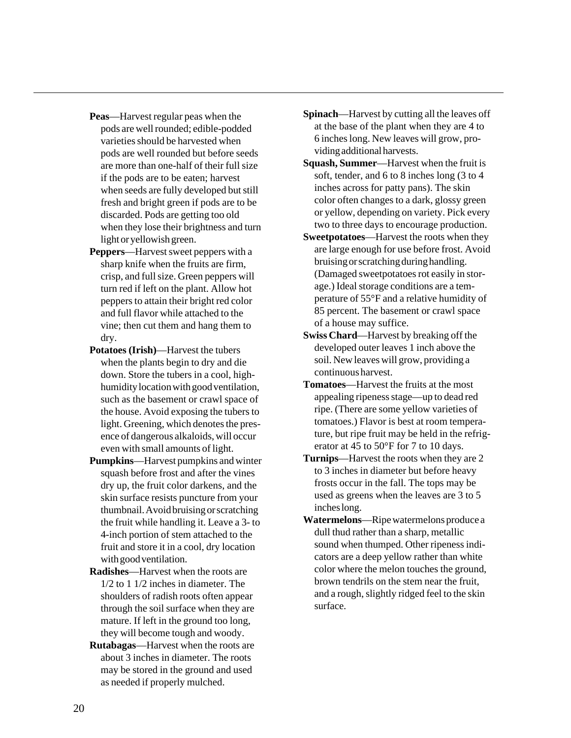**Peas**—Harvest regular peas when the pods are well rounded; edible-podded varieties should be harvested when pods are well rounded but before seeds are more than one-half of their full size if the pods are to be eaten; harvest when seeds are fully developed but still fresh and bright green if pods are to be discarded. Pods are getting too old when they lose their brightness and turn light or yellowish green.

- **Peppers**—Harvest sweet peppers with a sharp knife when the fruits are firm, crisp, and full size. Green peppers will turn red if left on the plant. Allow hot peppers to attain their bright red color and full flavor while attached to the vine; then cut them and hang them to dry.
- **Potatoes (Irish)**—Harvest the tubers when the plants begin to dry and die down. Store the tubers in a cool, highhumidity location with good ventilation, such as the basement or crawl space of the house. Avoid exposing the tubers to light. Greening, which denotes the presence of dangerous alkaloids, will occur even with small amounts of light.
- **Pumpkins**—Harvest pumpkins and winter squash before frost and after the vines dry up, the fruit color darkens, and the skin surface resists puncture from your thumbnail. Avoid bruising or scratching the fruit while handling it. Leave a 3- to 4-inch portion of stem attached to the fruit and store it in a cool, dry location with good ventilation.
- **Radishes**—Harvest when the roots are 1/2 to 1 1/2 inches in diameter. The shoulders of radish roots often appear through the soil surface when they are mature. If left in the ground too long, they will become tough and woody.
- **Rutabagas**—Harvest when the roots are about 3 inches in diameter. The roots may be stored in the ground and used as needed if properly mulched.
- **Spinach**—Harvest by cutting all the leaves off at the base of the plant when they are 4 to 6 inches long. New leaves will grow, providing additional harvests.
- **Squash, Summer**—Harvest when the fruit is soft, tender, and 6 to 8 inches long (3 to 4 inches across for patty pans). The skin color often changes to a dark, glossy green or yellow, depending on variety. Pick every two to three days to encourage production.
- **Sweetpotatoes**—Harvest the roots when they are large enough for use before frost. Avoid bruising or scratching during handling. (Damaged sweetpotatoes rot easily in storage.) Ideal storage conditions are a temperature of 55°F and a relative humidity of 85 percent. The basement or crawl space of a house may suffice.
- **Swiss Chard**—Harvest by breaking off the developed outer leaves 1 inch above the soil. New leaves will grow, providing a continuous harvest.
- **Tomatoes**—Harvest the fruits at the most appealing ripeness stage—up to dead red ripe. (There are some yellow varieties of tomatoes.) Flavor is best at room temperature, but ripe fruit may be held in the refrigerator at 45 to 50°F for 7 to 10 days.
- **Turnips**—Harvest the roots when they are 2 to 3 inches in diameter but before heavy frosts occur in the fall. The tops may be used as greens when the leaves are 3 to 5 inches long.
- **Watermelons**—Ripe watermelons produce a dull thud rather than a sharp, metallic sound when thumped. Other ripeness indicators are a deep yellow rather than white color where the melon touches the ground, brown tendrils on the stem near the fruit, and a rough, slightly ridged feel to the skin surface.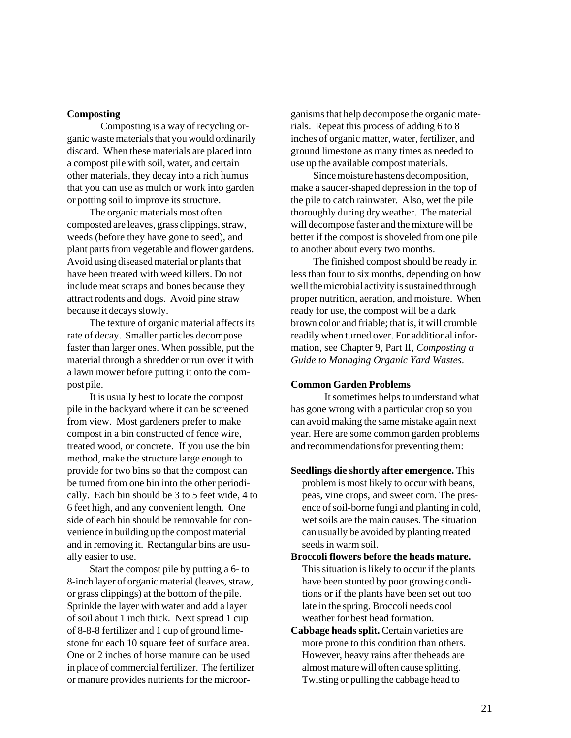## **Composting**

Composting is a way of recycling organic waste materials that you would ordinarily discard. When these materials are placed into a compost pile with soil, water, and certain other materials, they decay into a rich humus that you can use as mulch or work into garden or potting soil to improve its structure.

The organic materials most often composted are leaves, grass clippings, straw, weeds (before they have gone to seed), and plant parts from vegetable and flower gardens. Avoid using diseased material or plants that have been treated with weed killers. Do not include meat scraps and bones because they attract rodents and dogs. Avoid pine straw because it decays slowly.

The texture of organic material affects its rate of decay. Smaller particles decompose faster than larger ones. When possible, put the material through a shredder or run over it with a lawn mower before putting it onto the compost pile.

It is usually best to locate the compost pile in the backyard where it can be screened from view. Most gardeners prefer to make compost in a bin constructed of fence wire, treated wood, or concrete. If you use the bin method, make the structure large enough to provide for two bins so that the compost can be turned from one bin into the other periodically. Each bin should be 3 to 5 feet wide, 4 to 6 feet high, and any convenient length. One side of each bin should be removable for convenience in building up the compost material and in removing it. Rectangular bins are usually easier to use.

Start the compost pile by putting a 6- to 8-inch layer of organic material (leaves, straw, or grass clippings) at the bottom of the pile. Sprinkle the layer with water and add a layer of soil about 1 inch thick. Next spread 1 cup of 8-8-8 fertilizer and 1 cup of ground limestone for each 10 square feet of surface area. One or 2 inches of horse manure can be used in place of commercial fertilizer. The fertilizer or manure provides nutrients for the microor-

ganisms that help decompose the organic materials. Repeat this process of adding 6 to 8 inches of organic matter, water, fertilizer, and ground limestone as many times as needed to use up the available compost materials.

Since moisture hastens decomposition, make a saucer-shaped depression in the top of the pile to catch rainwater. Also, wet the pile thoroughly during dry weather. The material will decompose faster and the mixture will be better if the compost is shoveled from one pile to another about every two months.

The finished compost should be ready in less than four to six months, depending on how well the microbial activity is sustained through proper nutrition, aeration, and moisture. When ready for use, the compost will be a dark brown color and friable; that is, it will crumble readily when turned over. For additional information, see Chapter 9, Part II, *Composting a Guide to Managing Organic Yard Wastes*.

### **Common Garden Problems**

It sometimes helps to understand what has gone wrong with a particular crop so you can avoid making the same mistake again next year. Here are some common garden problems and recommendations for preventing them:

- **Seedlings die shortly after emergence.** This problem is most likely to occur with beans, peas, vine crops, and sweet corn. The presence of soil-borne fungi and planting in cold, wet soils are the main causes. The situation can usually be avoided by planting treated seeds in warm soil.
- **Broccoli flowers before the heads mature.** This situation is likely to occur if the plants have been stunted by poor growing conditions or if the plants have been set out too late in the spring. Broccoli needs cool weather for best head formation.
- **Cabbage heads split.** Certain varieties are more prone to this condition than others. However, heavy rains after theheads are almost mature will often cause splitting. Twisting or pulling the cabbage head to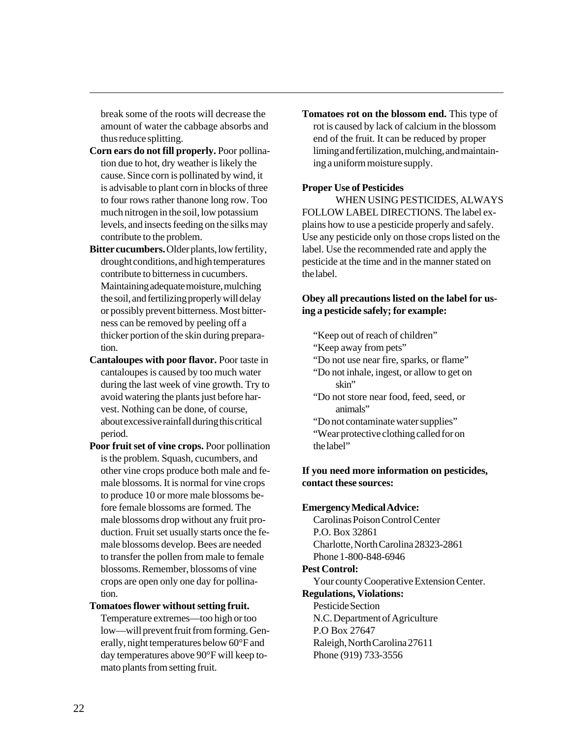break some of the roots will decrease the amount of water the cabbage absorbs and thus reduce splitting.

- **Corn ears do not fill properly.** Poor pollination due to hot, dry weather is likely the cause. Since corn is pollinated by wind, it is advisable to plant corn in blocks of three to four rows rather thanone long row. Too much nitrogen in the soil, low potassium levels, and insects feeding on the silks may contribute to the problem.
- **Bitter cucumbers.** Older plants, low fertility, drought conditions, and high temperatures contribute to bitterness in cucumbers. Maintaining adequate moisture, mulching the soil, and fertilizing properly will delay or possibly prevent bitterness. Most bitterness can be removed by peeling off a thicker portion of the skin during preparation.
- **Cantaloupes with poor flavor.** Poor taste in cantaloupes is caused by too much water during the last week of vine growth. Try to avoid watering the plants just before harvest. Nothing can be done, of course, about excessive rainfall during this critical period.
- **Poor fruit set of vine crops.** Poor pollination is the problem. Squash, cucumbers, and other vine crops produce both male and female blossoms. It is normal for vine crops to produce 10 or more male blossoms before female blossoms are formed. The male blossoms drop without any fruit production. Fruit set usually starts once the female blossoms develop. Bees are needed to transfer the pollen from male to female blossoms. Remember, blossoms of vine crops are open only one day for pollination.

## **Tomatoes flower without setting fruit.**

Temperature extremes—too high or too low—will prevent fruit from forming. Generally, night temperatures below 60°F and day temperatures above 90°F will keep tomato plants from setting fruit.

**Tomatoes rot on the blossom end.** This type of rot is caused by lack of calcium in the blossom end of the fruit. It can be reduced by proper liming and fertilization, mulching, and maintaining a uniform moisture supply.

## **Proper Use of Pesticides**

WHEN USING PESTICIDES, ALWAYS FOLLOW LABEL DIRECTIONS. The label explains how to use a pesticide properly and safely. Use any pesticide only on those crops listed on the label. Use the recommended rate and apply the pesticide at the time and in the manner stated on the label.

## **Obey all precautions listed on the label for using a pesticide safely; for example:**

- "Keep out of reach of children"
- "Keep away from pets"
- "Do not use near fire, sparks, or flame"
- "Do not inhale, ingest, or allow to get on skin"
- "Do not store near food, feed, seed, or animals"
- "Do not contaminate water supplies"
- "Wear protective clothing called for on the label"

## **If you need more information on pesticides, contact these sources:**

### **Emergency Medical Advice:**

Carolinas Poison Control Center P.O. Box 32861 Charlotte, North Carolina 28323-2861 Phone 1-800-848-6946

### **Pest Control:**

Your county Cooperative Extension Center.

### **Regulations, Violations:**

Pesticide Section N.C. Department of Agriculture P.O Box 27647 Raleigh, North Carolina 27611 Phone (919) 733-3556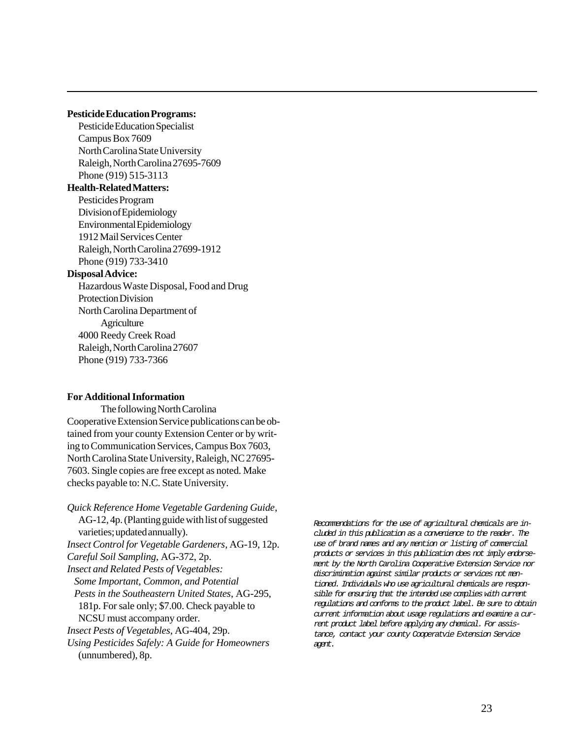#### **Pesticide Education Programs:**

Pesticide Education Specialist Campus Box 7609 North Carolina State University Raleigh, North Carolina 27695-7609 Phone (919) 515-3113

#### **Health-Related Matters:**

Pesticides Program Division of Epidemiology Environmental Epidemiology 1912 Mail Services Center Raleigh, North Carolina 27699-1912 Phone (919) 733-3410

#### **Disposal Advice:**

Hazardous Waste Disposal, Food and Drug Protection Division North Carolina Department of **Agriculture** 4000 Reedy Creek Road Raleigh, North Carolina 27607 Phone (919) 733-7366

#### **For Additional Information**

The following North Carolina Cooperative Extension Service publications can be obtained from your county Extension Center or by writing to Communication Services, Campus Box 7603, North Carolina State University, Raleigh, NC 27695- 7603. Single copies are free except as noted. Make checks payable to: N.C. State University.

*Quick Reference Home Vegetable Gardening Guide*, AG-12, 4p. (Planting guide with list of suggested varieties; updated annually). *Insect Control for Vegetable Gardeners*, AG-19, 12p. *Careful Soil Sampling*, AG-372, 2p. *Insect and Related Pests of Vegetables: Some Important, Common, and Potential Pests in the Southeastern United States*, AG-295, 181p. For sale only; \$7.00. Check payable to NCSU must accompany order. *Insect Pests of Vegetables*, AG-404, 29p. *Using Pesticides Safely: A Guide for Homeowners* (unnumbered), 8p.

Recommendations for the use of agricultural chemicals are included in this publication as a convenience to the reader. The use of brand names and any mention or listing of commercial products or services in this publication does not imply endorsement by the North Carolina Cooperative Extension Service nor discrimination against similar products or services not mentioned. Individuals who use agricultural chemicals are responsible for ensuring that the intended use complies with current regulations and conforms to the product label. Be sure to obtain current information about usage regulations and examine a current product label before applying any chemical. For assistance, contact your county Cooperatvie Extension Service agent.